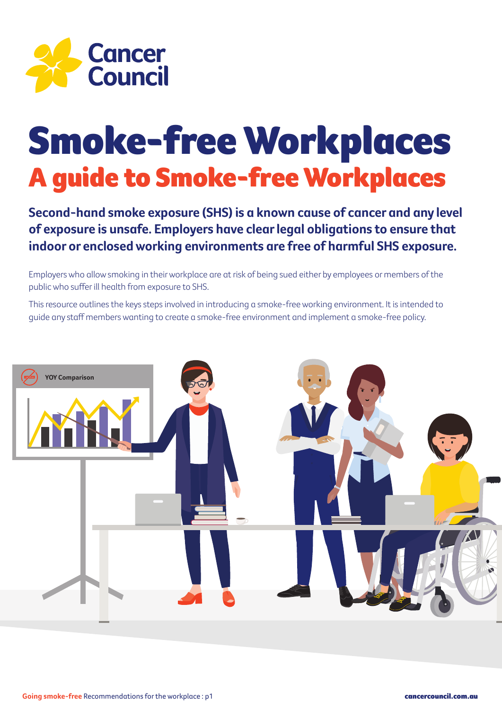

# Smoke-free Workplaces A guide to Smoke-free Workplaces

**Second-hand smoke exposure (SHS) is a known cause of cancer and any level of exposure is unsafe. Employers have clear legal obligations to ensure that indoor or enclosed working environments are free of harmful SHS exposure.**

Employers who allow smoking in their workplace are at risk of being sued either by employees or members of the public who suffer ill health from exposure to SHS.

This resource outlines the keys steps involved in introducing a smoke-free working environment. It is intended to guide any staff members wanting to create a smoke-free environment and implement a smoke-free policy.

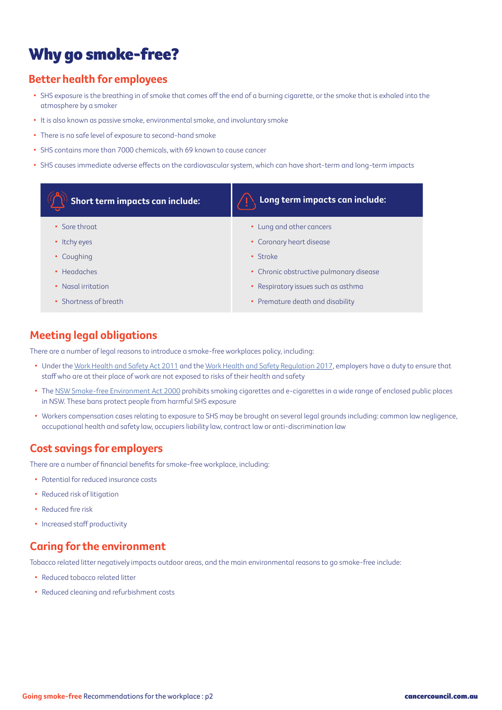### Why go smoke-free?

#### **Better health for employees**

- SHS exposure is the breathing in of smoke that comes off the end of a burning cigarette, or the smoke that is exhaled into the atmosphere by a smoker
- It is also known as passive smoke, environmental smoke, and involuntary smoke
- There is no safe level of exposure to second-hand smoke
- SHS contains more than 7000 chemicals, with 69 known to cause cancer
- SHS causes immediate adverse effects on the cardiovascular system, which can have short-term and long-term impacts

| Short term impacts can include: | Long term impacts can include:          |
|---------------------------------|-----------------------------------------|
| • Sore throat                   | • Lung and other cancers                |
| • Itchy eyes                    | • Coronary heart disease                |
| Coughing<br>٠                   | • Stroke                                |
| • Headaches                     | • Chronic obstructive pulmonary disease |
| • Nasal irritation              | • Respiratory issues such as asthma     |
| Shortness of breath             | • Premature death and disability        |

#### **Meeting legal obligations**

There are a number of legal reasons to introduce a smoke-free workplaces policy, including:

- Under the [Work Health and Safety Act 2011](https://legislation.nsw.gov.au/view/html/inforce/current/act-2011-010) and the [Work Health and Safety Regulation 2017](https://legislation.nsw.gov.au/view/html/inforce/current/sl-2017-0404), employers have a duty to ensure that staff who are at their place of work are not exposed to risks of their health and safety
- The [NSW Smoke-free Environment Act 2000](https://legislation.nsw.gov.au/view/whole/html/inforce/current/act-2000-069) prohibits smoking cigarettes and e-cigarettes in a wide range of enclosed public places in NSW. These bans protect people from harmful SHS exposure
- Workers compensation cases relating to exposure to SHS may be brought on several legal grounds including: common law negligence, occupational health and safety law, occupiers liability law, contract law or anti-discrimination law

#### **Cost savings for employers**

There are a number of financial benefits for smoke-free workplace, including:

- Potential for reduced insurance costs
- Reduced risk of litigation
- Reduced fire risk
- Increased staff productivity

#### **Caring for the environment**

Tobacco related litter negatively impacts outdoor areas, and the main environmental reasons to go smoke-free include:

- Reduced tobacco related litter
- Reduced cleaning and refurbishment costs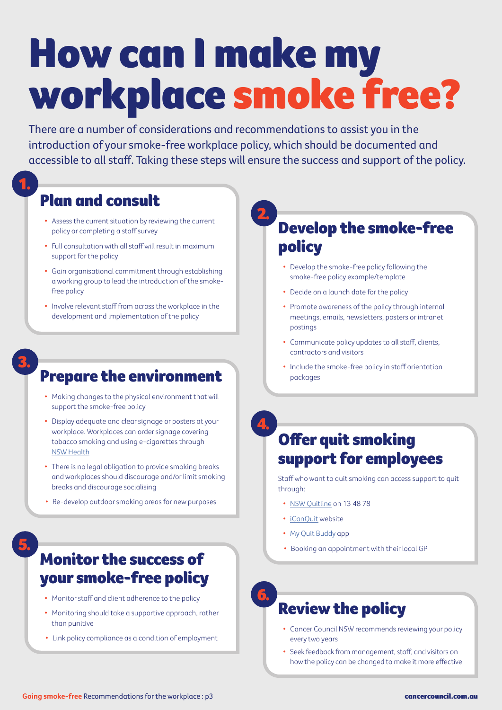# How can I make my workplace smoke free?

There are a number of considerations and recommendations to assist you in the introduction of your smoke-free workplace policy, which should be documented and accessible to all staff. Taking these steps will ensure the success and support of the policy.

#### Plan and consult

1.

3.

- Assess the current situation by reviewing the current policy or completing a staff survey
- Full consultation with all staff will result in maximum support for the policy
- Gain organisational commitment through establishing a working group to lead the introduction of the smokefree policy
- Involve relevant staff from across the workplace in the development and implementation of the policy

# **Prepare the environment** Prepare the smoke-free policy in staff orientation

- Making changes to the physical environment that will support the smoke-free policy
- Display adequate and clear signage or posters at your workplace. Workplaces can order signage covering tobacco smoking and using e-cigarettes through [NSW Health](https://www.health.nsw.gov.au/tobacco/Pages/smoke-free-resources.aspx)
- There is no legal obligation to provide smoking breaks and workplaces should discourage and/or limit smoking breaks and discourage socialising
- Re-develop outdoor smoking areas for new purposes

5.

#### Monitor the success of your smoke-free policy

- Monitor staff and client adherence to the policy
- Monitoring should take a supportive approach, rather than punitive
- Link policy compliance as a condition of employment

# 2.

4.

6.

#### Develop the smoke-free policy

- Develop the smoke-free policy following the smoke-free policy example/template
- Decide on a launch date for the policy
- Promote awareness of the policy through internal meetings, emails, newsletters, posters or intranet postings
- Communicate policy updates to all staff, clients, contractors and visitors
- 

## Offer quit smoking support for employees

Staff who want to quit smoking can access support to quit through:

- [NSW Quitline on 13 48 78](https://www.icanquit.com.au/quitting-methods/professional-support-and-advice/quitline)
- [iCanQuit](https://www.icanquit.com.au/) [website](https://www.icanquit.com.au/)
- [My Quit Buddy](https://www.icanquit.com.au/quitting-methods/quit-smoking-apps) app
- Booking an appointment with their local GP

#### Review the policy

- Cancer Council NSW recommends reviewing your policy every two years
- Seek feedback from management, staff, and visitors on how the policy can be changed to make it more effective